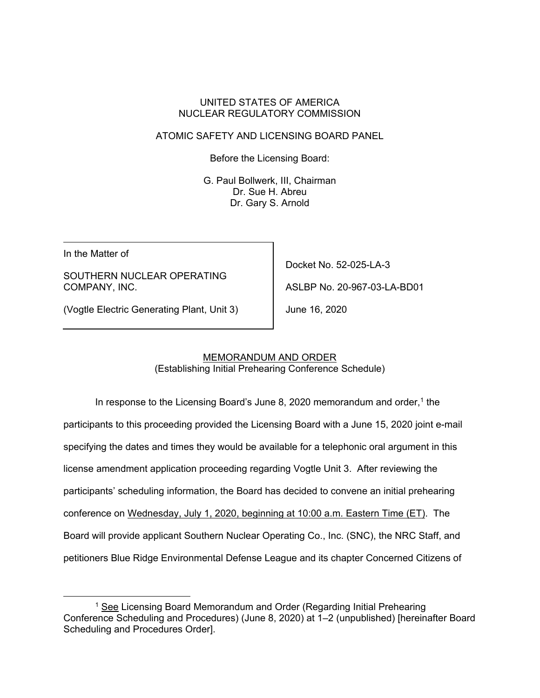#### UNITED STATES OF AMERICA NUCLEAR REGULATORY COMMISSION

## ATOMIC SAFETY AND LICENSING BOARD PANEL

Before the Licensing Board:

G. Paul Bollwerk, III, Chairman Dr. Sue H. Abreu Dr. Gary S. Arnold

In the Matter of

SOUTHERN NUCLEAR OPERATING COMPANY, INC.

Docket No. 52-025-LA-3 ASLBP No. 20-967-03-LA-BD01

(Vogtle Electric Generating Plant, Unit 3)

June 16, 2020

# MEMORANDUM AND ORDER

(Establishing Initial Prehearing Conference Schedule)

In response to the Licensing Board's June 8, 2020 memorandum and order, $1$  the participants to this proceeding provided the Licensing Board with a June 15, 2020 joint e-mail specifying the dates and times they would be available for a telephonic oral argument in this license amendment application proceeding regarding Vogtle Unit 3. After reviewing the participants' scheduling information, the Board has decided to convene an initial prehearing conference on Wednesday, July 1, 2020, beginning at 10:00 a.m. Eastern Time (ET). The Board will provide applicant Southern Nuclear Operating Co., Inc. (SNC), the NRC Staff, and petitioners Blue Ridge Environmental Defense League and its chapter Concerned Citizens of

<sup>&</sup>lt;sup>1</sup> See Licensing Board Memorandum and Order (Regarding Initial Prehearing Conference Scheduling and Procedures) (June 8, 2020) at 1–2 (unpublished) [hereinafter Board Scheduling and Procedures Order].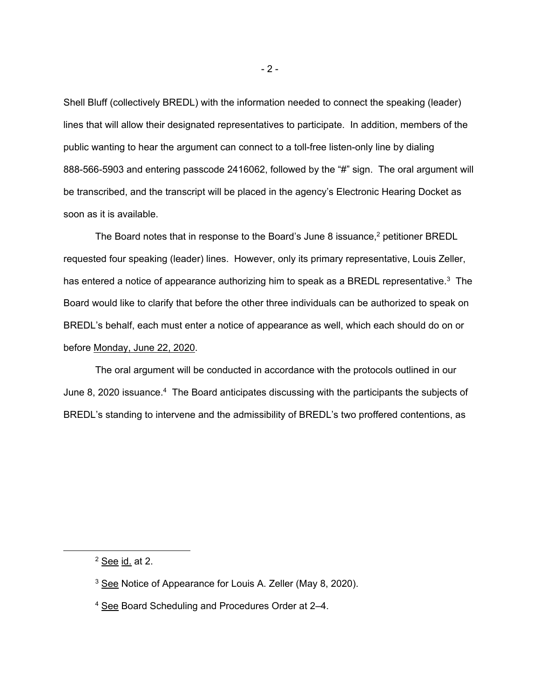Shell Bluff (collectively BREDL) with the information needed to connect the speaking (leader) lines that will allow their designated representatives to participate. In addition, members of the public wanting to hear the argument can connect to a toll-free listen-only line by dialing 888-566-5903 and entering passcode 2416062, followed by the "#" sign. The oral argument will be transcribed, and the transcript will be placed in the agency's Electronic Hearing Docket as soon as it is available.

The Board notes that in response to the Board's June 8 issuance, $2$  petitioner BREDL requested four speaking (leader) lines. However, only its primary representative, Louis Zeller, has entered a notice of appearance authorizing him to speak as a BREDL representative.<sup>3</sup> The Board would like to clarify that before the other three individuals can be authorized to speak on BREDL's behalf, each must enter a notice of appearance as well, which each should do on or before Monday, June 22, 2020.

The oral argument will be conducted in accordance with the protocols outlined in our June 8, 2020 issuance.<sup>4</sup> The Board anticipates discussing with the participants the subjects of BREDL's standing to intervene and the admissibility of BREDL's two proffered contentions, as

<sup>2</sup> See id. at 2.

<sup>3</sup> See Notice of Appearance for Louis A. Zeller (May 8, 2020).

<sup>&</sup>lt;sup>4</sup> See Board Scheduling and Procedures Order at 2-4.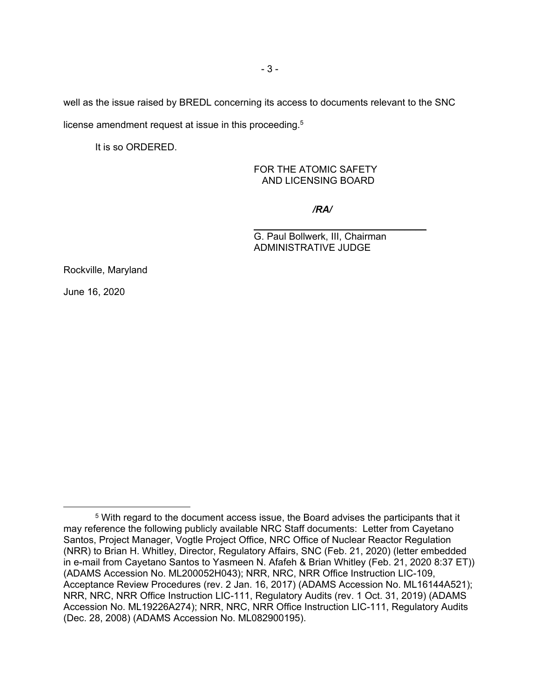well as the issue raised by BREDL concerning its access to documents relevant to the SNC license amendment request at issue in this proceeding.<sup>5</sup>

It is so ORDERED.

FOR THE ATOMIC SAFETY AND LICENSING BOARD

*/RA/*

\_\_\_\_\_\_\_\_\_\_\_\_\_\_\_\_\_\_\_\_\_\_\_\_\_\_\_\_\_\_\_\_

G. Paul Bollwerk, III, Chairman ADMINISTRATIVE JUDGE

Rockville, Maryland

June 16, 2020

<sup>5</sup> With regard to the document access issue, the Board advises the participants that it may reference the following publicly available NRC Staff documents: Letter from Cayetano Santos, Project Manager, Vogtle Project Office, NRC Office of Nuclear Reactor Regulation (NRR) to Brian H. Whitley, Director, Regulatory Affairs, SNC (Feb. 21, 2020) (letter embedded in e-mail from Cayetano Santos to Yasmeen N. Afafeh & Brian Whitley (Feb. 21, 2020 8:37 ET)) (ADAMS Accession No. ML200052H043); NRR, NRC, NRR Office Instruction LIC-109, Acceptance Review Procedures (rev. 2 Jan. 16, 2017) (ADAMS Accession No. ML16144A521); NRR, NRC, NRR Office Instruction LIC-111, Regulatory Audits (rev. 1 Oct. 31, 2019) (ADAMS Accession No. ML19226A274); NRR, NRC, NRR Office Instruction LIC-111, Regulatory Audits (Dec. 28, 2008) (ADAMS Accession No. ML082900195).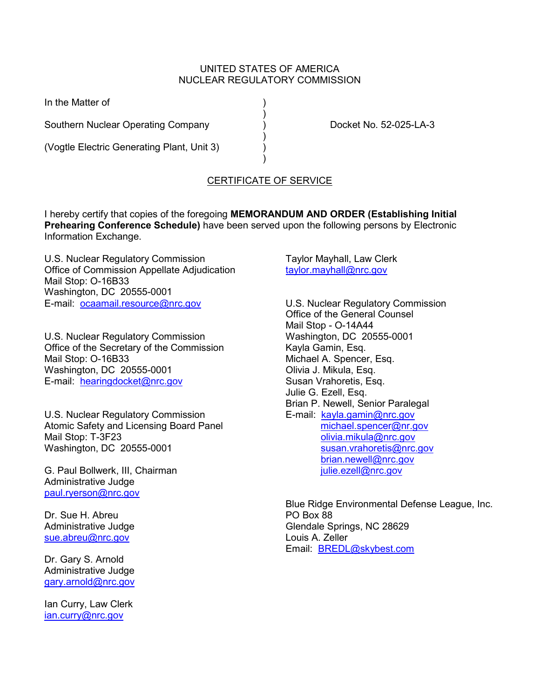#### UNITED STATES OF AMERICA NUCLEAR REGULATORY COMMISSION

)

)

In the Matter of

Southern Nuclear Operating Company (and Southern Nuclear Operating Company (b) and Docket No. 52-025-LA-3

(Vogtle Electric Generating Plant, Unit 3) )

# CERTIFICATE OF SERVICE

I hereby certify that copies of the foregoing **MEMORANDUM AND ORDER (Establishing Initial Prehearing Conference Schedule)** have been served upon the following persons by Electronic Information Exchange.

 $\overline{\phantom{a}}$ 

U.S. Nuclear Regulatory Commission Office of Commission Appellate Adjudication Mail Stop: O-16B33 Washington, DC 20555-0001 E-mail: [ocaamail.resource@nrc.gov](mailto:ocaamail.resource@nrc.gov)

U.S. Nuclear Regulatory Commission Office of the Secretary of the Commission Mail Stop: O-16B33 Washington, DC 20555-0001 E-mail: [hearingdocket@nrc.gov](mailto:hearingdocket@nrc.gov)

U.S. Nuclear Regulatory Commission Atomic Safety and Licensing Board Panel Mail Stop: T-3F23 Washington, DC 20555-0001

G. Paul Bollwerk, III, Chairman Administrative Judge [paul.ryerson@nrc.gov](mailto:paul.ryerson@nrc.gov)

Dr. Sue H. Abreu Administrative Judge [sue.abreu@nrc.gov](mailto:sue.abreu@nrc.gov)

Dr. Gary S. Arnold Administrative Judge [gary.arnold@nrc.gov](mailto:gary.arnold@nrc.gov)

Ian Curry, Law Clerk [ian.curry@nrc.gov](mailto:ian.curry@nrc.gov)

Taylor Mayhall, Law Clerk [taylor.mayhall@nrc.gov](mailto:taylor.mayhall@nrc.gov)

U.S. Nuclear Regulatory Commission Office of the General Counsel Mail Stop - O-14A44 Washington, DC 20555-0001 Kayla Gamin, Esq. Michael A. Spencer, Esq. Olivia J. Mikula, Esq. Susan Vrahoretis, Esq. Julie G. Ezell, Esq. Brian P. Newell, Senior Paralegal E-mail: [kayla.gamin@nrc.gov](mailto:kayla.gamin@nrc.gov) [michael.spencer@nr.gov](mailto:michael.spencer@nr.gov) [olivia.mikula@nrc.gov](mailto:olivia.mikula@nrc.gov) [susan.vrahoretis@nrc.gov](mailto:susan.vrahoretis@nrc.gov) [brian.newell@nrc.gov](mailto:brian.newell@nrc.gov) [julie.ezell@nrc.gov](mailto:julie.ezell@nrc.gov)

Blue Ridge Environmental Defense League, Inc. PO Box 88 Glendale Springs, NC 28629 Louis A. Zeller Email: [BREDL@skybest.com](mailto:BREDL@skybest.com)